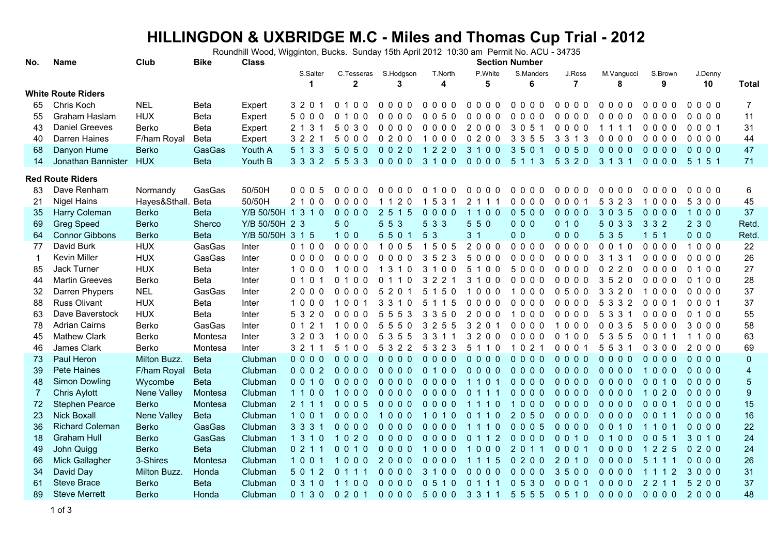## **HILLINGDON & UXBRIDGE M.C - Miles and Thomas Cup Trial - 2012** Roundhill Wood, Wigginton, Bucks. Sunday 15th April 2012 10:30 am Permit No. ACU - 34735

| Club<br><b>Bike</b><br><b>Section Number</b><br><b>Class</b><br>Name<br>No. |                           |                    |             |                    |                      |                                                           |                                                 |                             |                                                        |                                                |                                                  |                                      |                               |                            |                         |
|-----------------------------------------------------------------------------|---------------------------|--------------------|-------------|--------------------|----------------------|-----------------------------------------------------------|-------------------------------------------------|-----------------------------|--------------------------------------------------------|------------------------------------------------|--------------------------------------------------|--------------------------------------|-------------------------------|----------------------------|-------------------------|
|                                                                             |                           |                    |             |                    | S.Salter<br>1        | C.Tesseras<br>$\mathbf{2}$                                | S.Hodgson<br>3                                  | T.North<br>4                | P.White<br>5                                           | S.Manders<br>6                                 | J.Ross<br>$\overline{7}$                         | M.Vangucci<br>8                      | S.Brown<br>9                  | J.Denny<br>10              | <b>Total</b>            |
|                                                                             | <b>White Route Riders</b> |                    |             |                    |                      |                                                           |                                                 |                             |                                                        |                                                |                                                  |                                      |                               |                            |                         |
| 65                                                                          | Chris Koch                | <b>NEL</b>         | Beta        | Expert             | 3 2 0 1              | 100<br>0                                                  | $0000$                                          | $0000$                      | $0000$                                                 | $0000$                                         | $0000$                                           | $0000$                               | $0000$                        | $0000$                     | $\overline{7}$          |
| 55                                                                          | Graham Haslam             | <b>HUX</b>         | Beta        | Expert             | 5000                 | $\mathbf{0}$<br>0 <sub>0</sub><br>$\overline{\mathbf{1}}$ | $0000$                                          | 50<br>0 <sub>0</sub>        | $0000$                                                 | $0000$                                         | $0000$                                           | $0000$                               | $0000$                        | $0000$                     | 11                      |
| 43                                                                          | <b>Daniel Greeves</b>     | Berko              | Beta        | Expert             | 2 1 3 1              | 5030                                                      | 0000                                            | $0000$                      | 2000                                                   | 3 0 5 1                                        | $0000$                                           | 1111                                 | 0000                          | 0001                       | 31                      |
| 40                                                                          | Darren Haines             | F/ham Royal        | Beta        | Expert             | 3 2 2                | 5000                                                      | 0200                                            | 1000                        | 0200                                                   | 3 3 5 5                                        | 3 3 1 3                                          | 0000                                 | 0000                          | $0000$                     | 44                      |
| 68                                                                          | Danyon Hume               | <b>Berko</b>       | GasGas      | Youth A            | 5 1 3 3              | 5050                                                      | 0020                                            | 1 2 2 0                     | 3 1 0 0                                                | 3501                                           | 0050                                             | $0000$                               | $0000$                        | $0000$                     | 47                      |
| 14                                                                          | Jonathan Bannister        | <b>HUX</b>         | <b>Beta</b> | Youth B            | 3 3 3 2              | 5 5 3 3                                                   | $0000$                                          | 3100                        | 0000                                                   | 5 1 1 3                                        | 5 3 2 0                                          | 3 1 3 1                              | 0000                          | 5 1 5 1                    | 71                      |
|                                                                             | <b>Red Route Riders</b>   |                    |             |                    |                      |                                                           |                                                 |                             |                                                        |                                                |                                                  |                                      |                               |                            |                         |
| 83                                                                          | Dave Renham               | Normandy           | GasGas      | 50/50H             | 0005                 | 0000                                                      | 0000                                            | $\Omega$<br>100             | $0000$                                                 | $0000$                                         | $0000$                                           | $0000$                               | 0000                          | $0000$                     | 6                       |
| 21                                                                          | <b>Nigel Hains</b>        | Hayes&Sthall. Beta |             | 50/50H             | 2 <sub>1</sub><br>00 | $0000$                                                    | 2 <sub>0</sub><br>-1<br>-1                      | -5<br>3<br>$\mathbf{1}$     | $\overline{2}$<br>-1<br>$\mathbf{1}$                   | $0000$                                         | 0001                                             | 5 3 2 3                              | 1000                          | 5300                       | 45                      |
| 35                                                                          | Harry Coleman             | <b>Berko</b>       | <b>Beta</b> | Y/B 50/50H 1 3 1 0 |                      | $0000$                                                    | $\overline{2}$<br>$5^{\circ}$<br>1 <sub>5</sub> | 0000                        | 1100                                                   | 0500                                           | 0000                                             | 3035                                 | 0000                          | 1000                       | 37                      |
| 69                                                                          | <b>Greg Speed</b>         | <b>Berko</b>       | Sherco      | Y/B 50/50H 2 3     |                      | 50                                                        | 5 5 3                                           | 5 3 3                       | 5 5 0                                                  | 000                                            | 010                                              | 5033                                 | 3 3 2                         | 230                        | Retd                    |
| 64                                                                          | <b>Connor Gibbons</b>     | <b>Berko</b>       | <b>Beta</b> | Y/B 50/50H 3 1 5   |                      | $100$                                                     | 5501                                            | 5 3                         | 3 <sub>1</sub>                                         | 0 <sub>0</sub>                                 | 000                                              | 5 3 5                                | 151                           | 000                        | Retd                    |
| 77                                                                          | David Burk                | <b>HUX</b>         | GasGas      | Inter              | 0 1 0 0              | 0000                                                      | 1005                                            | 1505                        | 2000                                                   | 0000                                           | 0000                                             | 0 0 1 0                              | $0000$                        | 1000                       | 22                      |
| -1                                                                          | Kevin Miller              | <b>HUX</b>         | GasGas      | Inter              | 0000                 | $0000$                                                    | $0000$                                          | 3 5 2 3                     | 5000                                                   | $0000$                                         | 0000                                             | 3 1 3 1                              | $0000$                        | $0000$                     | 26                      |
| 85                                                                          | Jack Turner               | <b>HUX</b>         | Beta        | Inter              | 1000                 | 1000                                                      | 3<br>10<br>-1                                   | 3<br>100                    | 5<br>100                                               | 5000                                           | $0000$                                           | 0220                                 | $0000$                        | 0 1 0 0                    | 27                      |
| 44                                                                          | <b>Martin Greeves</b>     | Berko              | Beta        | Inter              | 01<br>- 0            | 100<br>$\Omega$                                           | - 0<br>0<br>11                                  | 2<br>3<br>2                 | 3<br>100                                               | $0000$                                         | $0000$                                           | 3 5 2 0                              | 0000                          | 1 0 0<br>$\Omega$          | 28                      |
| 32                                                                          | Darren Phypers            | <b>NEL</b>         | GasGas      | Inter              | 2000                 | 0000                                                      | 5<br>20                                         | 50<br>5                     | 000                                                    | 1000                                           | 0500                                             | 3 3 2 0                              | 1000                          | $0000$                     | 37                      |
| 88                                                                          | Russ Olivant              | <b>HUX</b>         | Beta        | Inter              | 1000                 | 0 <sub>0</sub>                                            | 3<br>3                                          | 5<br>5<br>-1                | $0000$                                                 | $0000$                                         | $0000$                                           | 5<br>3 3 2                           | 0001                          | 0001                       | 37                      |
| 63                                                                          | Dave Baverstock           | <b>HUX</b>         | Beta        | Inter              | 5 3 2 0              | 0 <sub>0</sub><br>0<br>$\Omega$                           | 5<br>5<br>3<br>5                                | 3<br>3<br>5 0               | $\overline{2}$<br>000                                  | 000                                            | 0<br>000                                         | 5<br>3<br>3 <sub>1</sub>             | 0<br>$\mathbf{0}$<br>0<br>- 0 | 0 <sub>0</sub><br>$\Omega$ | 55                      |
| 78                                                                          | <b>Adrian Cairns</b>      | Berko              | GasGas      | Inter              | 0 <sub>1</sub><br>2  | 0 <sub>0</sub><br>-1<br>0                                 | 5<br>$5\overline{)}$<br>$\Omega$<br>5           | 2<br>5<br>3<br>5            | 3<br>$\overline{2}$<br>$\mathbf{0}$<br>-1              | 0<br>000                                       | 000                                              | 3 5<br>0<br>$\Omega$                 | 5<br>$\mathbf{0}$<br>0<br>0   | 3000                       | 58                      |
| 45                                                                          | <b>Mathew Clark</b>       | Berko              | Montesa     | Inter              | 3 2 0 3              | -1<br>0 <sub>0</sub><br>0                                 | 3<br>5<br>5<br>5                                | 3<br>3<br>1 1               | 3<br>200                                               | $\Omega$<br>000                                | $\Omega$<br>100                                  | 3 5 5<br>5                           | 0 <sub>0</sub>                | 1100                       | 63                      |
| 46                                                                          | James Clark               | Berko              | Montesa     | Inter              | 3 2 1 1              | 5 1 0 0                                                   | 3<br>2 <sub>2</sub><br>5                        | 5<br>3<br>2 3               | 5<br>110                                               | 1 0 2 1                                        | 0, 0, 0                                          | 5<br>5 3 1                           | 0300                          | 2000                       | 69                      |
| 73                                                                          | Paul Heron                | Milton Buzz.       | <b>Beta</b> | Clubman            | 0000                 | $0000$                                                    | 0000                                            | $0000$                      | $0000$                                                 | $0000$                                         | $0000$                                           | $0000$                               | $0000$                        | 0000                       | $\pmb{0}$               |
| 39                                                                          | <b>Pete Haines</b>        | F/ham Royal        | <b>Beta</b> | Clubman            | 00002                | $0000$                                                    | 0000                                            | 0 1 0 0                     | 0000                                                   | 0000                                           | 0000                                             | 0000                                 | 1000                          | $0000$                     | $\overline{\mathbf{4}}$ |
| 48                                                                          | <b>Simon Dowling</b>      | Wycombe            | <b>Beta</b> | Clubman            | 0 0 1 0              | $0000$                                                    | $0000$                                          | $0000$                      | 1 1 0<br>$\blacktriangleleft$                          | $0000$                                         | $0000$                                           | $0000$                               | 0010                          | $0000$                     | $\overline{5}$          |
| $\overline{7}$                                                              | <b>Chris Aylott</b>       | Nene Valley        | Montesa     | Clubman            | 1100                 | $000$<br>$\blacktriangleleft$                             | $0000$                                          | $0000$                      | 0 1 1 1                                                | $0000$                                         | $0000$                                           | $0000$                               | 1020                          | $0000$                     | $\boldsymbol{9}$        |
| 72                                                                          | <b>Stephen Pearce</b>     | <b>Berko</b>       | Montesa     | Clubman            | 2 1 1 1              | 0005                                                      | $0000$                                          | 0000                        | 1 1 1 0                                                | 1000                                           | $0000$                                           | $0000$                               | 0001                          | $0000$                     | 15                      |
| 23                                                                          | <b>Nick Boxall</b>        | Nene Valley        | <b>Beta</b> | Clubman            | 1001                 | $0000$                                                    | $000$<br>$\overline{1}$                         | 1010                        | 0 1 1 0                                                | 2050                                           | 0000                                             | $0000$                               | 0 0 1 1                       | 0000                       | 16                      |
| 36                                                                          | <b>Richard Coleman</b>    | <b>Berko</b>       | GasGas      | Clubman            | 3 3 3 1              | $0000$                                                    | 0000                                            | $0000$                      | 1 <sub>0</sub>                                         | 0005                                           | 0000                                             | $\mathbf{0}$<br>010                  | 1 1<br>01                     | 0000                       | 22                      |
| 18                                                                          | <b>Graham Hull</b>        | <b>Berko</b>       | GasGas      | Clubman            | 1 3 1 0              | 2 <sub>0</sub><br>$\blacktriangleleft$<br>$\overline{0}$  | 000<br>$\Omega$                                 | $0000$                      | 1 <sub>2</sub><br>$\mathbf{0}$<br>$\blacktriangleleft$ | $\mathbf{0}$<br>$\mathbf{0}$<br>0 <sub>0</sub> | $\mathbf{0}$<br>$\overline{0}$<br>1 <sub>0</sub> | $\mathbf{0}$<br>0 <sub>0</sub><br>-1 | $\mathbf{0}$<br>051           | 3 0 1 0                    | 24                      |
| 49                                                                          | John Quigg                | <b>Berko</b>       | <b>Beta</b> | Clubman            | 0211                 | 1 <sub>0</sub><br>$\Omega$<br>$\Omega$                    | 000<br>$\Omega$                                 | 000<br>$\blacktriangleleft$ | 0 <sub>0</sub><br>$\overline{1}$<br>$\Omega$           | 2<br>$\Omega$<br>1 <sub>1</sub>                | $\Omega$<br>0 <sub>0</sub><br>-1                 | $\Omega$<br>000                      | 1 2 2 5                       | 0200                       | 24                      |
| 66                                                                          | Mick Gallagher            | 3-Shires           | Montesa     | Clubman            | 100<br>-1            | 000<br>$\blacktriangleleft$                               | 2000                                            | $0000$                      | 1 1 1 5                                                | $\mathbf{0}$<br>200                            | 2 <sub>0</sub><br>10                             | $0000$                               | 5 1 1 1                       | $0000$                     | 26                      |
| 34                                                                          | David Day                 | Milton Buzz.       | Honda       | Clubman            | 5 0 1 2              | 0 <sub>1</sub><br>$\overline{1}$<br>$\overline{1}$        | $0000$                                          | 3 1 0 0                     | $0000$                                                 | $0000$                                         | 3500                                             | $0000$                               | 1 1 1 2                       | 3000                       | 31                      |
| 61                                                                          | <b>Steve Brace</b>        | <b>Berko</b>       | <b>Beta</b> | Clubman            | 0 3 1 0              | 1100                                                      | $0000$                                          | 0 <sub>5</sub><br>$1\,0$    | 0 1 1 1                                                | 0530                                           | 0001                                             | $0000$                               | 2 2 1 1                       | 5200                       | 37                      |
| 89                                                                          | <b>Steve Merrett</b>      | <b>Berko</b>       | Honda       | Clubman            | 0 1 3 0              | 0201                                                      | $0000$                                          | 5000                        | 3 3 1 1                                                | 5 5 5 5                                        | 0510                                             | $0000$                               | $0000$                        | 2000                       | 48                      |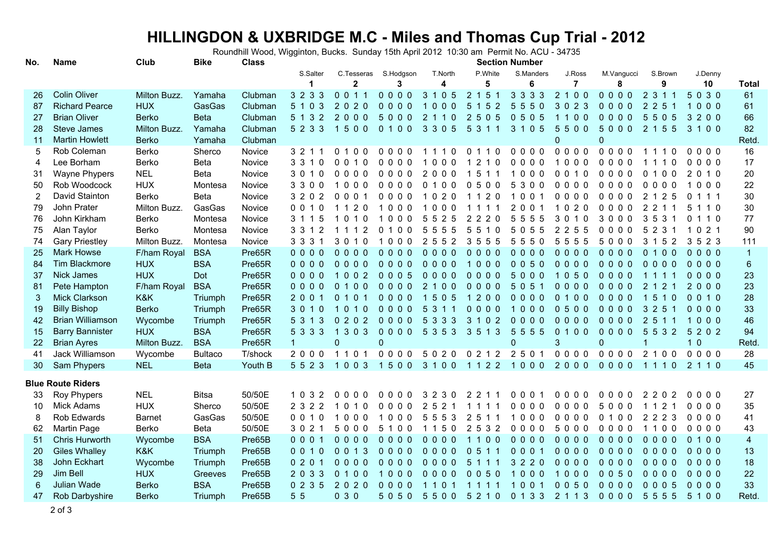## **HILLINGDON & UXBRIDGE M.C - Miles and Thomas Cup Trial - 2012** Roundhill Wood, Wigginton, Bucks. Sunday 15th April 2012 10:30 am Permit No. ACU - 34735

| No.             | Name                     | Club          | <b>Bike</b>    | <b>Class</b> | <b>Section Number</b> |                         |                            |                                    |                                               |                        |                     |                           |                                    |                         |                         |
|-----------------|--------------------------|---------------|----------------|--------------|-----------------------|-------------------------|----------------------------|------------------------------------|-----------------------------------------------|------------------------|---------------------|---------------------------|------------------------------------|-------------------------|-------------------------|
|                 |                          |               |                |              | S.Salter              | C.Tesseras              | S.Hodgson                  | T.North                            | P.White                                       | S.Manders              | J.Ross              | M.Vanqucci                | S.Brown                            | J.Denny                 |                         |
|                 |                          |               |                |              | $\mathbf 1$           | $\mathbf{2}$            | 3                          | 4                                  | 5                                             | 6                      | $\overline{7}$      | 8                         | 9                                  | 10                      | <b>Total</b>            |
| 26              | <b>Colin Oliver</b>      | Milton Buzz.  | Yamaha         | Clubman      | 3 2 3 3               | 0 0 1 1                 | $0000$                     | 1 0 5<br>3                         | 2 1 5 1                                       | 3 3 3 3                | 2 1 0 0             | 0000                      | 2 3 1 1                            | 5030                    | 61                      |
| 87              | <b>Richard Pearce</b>    | <b>HUX</b>    | GasGas         | Clubman      | 5 1 0 3               | 2020                    | $0000$                     | 000                                | 5 <sup>5</sup><br>152                         | $5\overline{)}$<br>550 | 3023                | 0000                      | 2 2 5                              | $\overline{1}$<br>$000$ | 61                      |
| 27              | <b>Brian Oliver</b>      | <b>Berko</b>  | <b>Beta</b>    | Clubman      | 5 1 3 2               | 2000                    | 5000                       | $\overline{2}$<br>$1 1 0$          | 2 <sup>1</sup><br>5 0 5                       | 0505                   | 1100                | 0000                      | 5505                               | 3 2 0 0                 | 66                      |
| 28              | <b>Steve James</b>       | Milton Buzz.  | Yamaha         | Clubman      | 5 2 3 3               | 1500                    | 0100                       | 3 3 0 5                            | 5 <sup>5</sup><br>3 1 1                       | 3 1 0 5                | 5500                | 5000                      | 2 1 5 5                            | 3 1 0 0                 | 82                      |
| 11              | <b>Martin Howlett</b>    | <b>Berko</b>  | Yamaha         | Clubman      |                       |                         |                            |                                    |                                               |                        | $\overline{0}$      | $\Omega$                  |                                    |                         | Retd                    |
| 5               | Rob Coleman              | Berko         | Sherco         | Novice       | 3 2 1 1               | 0 1 0 0                 | $0000$                     | 1 1 1 0                            | 0 1 1 0                                       | 0000                   | 0000                | 0000                      | 1110                               | 0000                    | 16                      |
| 4               | Lee Borham               | Berko         | Beta           | Novice       | 3 3 1 0               | 0010                    | $0000$                     | 000                                | $\overline{0}$<br>2<br>$\overline{1}$         | 0000                   | 1000                | 0000                      | 10<br>11                           | $0000$                  | 17                      |
| 31              | Wayne Phypers            | <b>NEL</b>    | Beta           | Novice       | 3 0 1 0               | 0000                    | 0000                       | 2000                               | 1 5 1 1                                       | 1000                   | 0 0 1 0             | $0000$                    | 0 1 0 0                            | 2 0 1 0                 | $20\,$                  |
| 50              | Rob Woodcock             | <b>HUX</b>    | Montesa        | Novice       | 3300                  | 1000                    | $0000$                     | 0100                               | 0500                                          | 5300                   | 0000                | $0000$                    | $0000$                             | 1000                    | 22                      |
| $\overline{2}$  | David Stainton           | Berko         | Beta           | Novice       | 3 2 0 2               | 0001                    | 0000                       | 1 0 2 0                            | 1 1 2 0                                       | 1001                   | $0000$              | $0000$                    | 2 1 2 5                            | 0 1 1 1                 | 30                      |
| 79              | John Prater              | Milton Buzz.  | GasGas         | Novice       | 0 0 1 0               | 20                      | 000                        | 000                                |                                               | 2<br>001               | 020<br>$\mathbf{1}$ | 0000                      | $\overline{2}$<br>2                | 5<br>110                | 30                      |
| 76              | John Kirkham             | Berko         | Montesa        | Novice       | 3 1 1                 | - 0<br>$\Omega$         | $\Omega$<br>0 <sub>0</sub> | 5<br>5 2 5                         | 2<br>2 <sub>0</sub><br>2                      | 5<br>555               | 3<br>0<br>10        | 3000                      | $3\,5$<br>3                        | 0<br>1 1 0              | 77                      |
| 75              | Alan Taylor              | Berko         | Montesa        | Novice       | 3 3 1 2               | 1 1 1 2                 | 0 <sub>0</sub><br>0        | 5<br>5 5<br>5                      | 5<br>5<br>$\overline{0}$<br>1                 | 5<br>055               | 2 5 5<br>2          | $\mathbf{0}$<br>$0\;0\;0$ | 5<br>2 3 1                         | 021<br>-1               | 90                      |
| 74              | <b>Gary Priestley</b>    | Milton Buzz.  | Montesa        | Novice       | 3 3 3 1               | 3 0 1 0                 | 000                        | $\overline{2}$<br>5 5 2            | 3 5 5 5                                       | 5550                   | 5<br>5 5 5          | 5000                      | 3 1 5<br>2                         | 3 5 2 3                 | 111                     |
| 25              | <b>Mark Howse</b>        | F/ham Royal   | <b>BSA</b>     | Pre65R       | 0000                  | 0000                    | $0000$                     | 0000                               | 0000                                          | $0000$                 | 0000                | 0000                      | 0 1 0 0                            | 0000                    | $\overline{1}$          |
| 84              | <b>Tim Blackmore</b>     | <b>HUX</b>    | <b>BSA</b>     | Pre65R       | $0000$                | $0000$                  | $0000$                     | $0000$                             | 1000                                          | 0050                   | 0000                | $0000$                    | $0000$                             | $0000$                  | $\,6\,$                 |
| 37              | <b>Nick James</b>        | <b>HUX</b>    | Dot            | Pre65R       | $0000$                | 1002                    | 0005                       | $0000$                             | $0000$                                        | 5000                   | 1050                | $0000$                    | 1111                               | $0000$                  | 23                      |
| 81              | Pete Hampton             | F/ham Royal   | <b>BSA</b>     | Pre65R       | $0000$                | 0 1 0 0                 | $0000$                     | 2 1 0 0                            | $0000$                                        | 5 0 5 1                | $0000$              | $0000$                    | 2 1 2 1                            | 2000                    | 23                      |
| 3               | <b>Mick Clarkson</b>     | K&K           | Triumph        | Pre65R       | 2 0 0 1               | 0 1 0 1                 | $0000$                     | 1505                               | 1200                                          | $0000$                 | 0 1 0 0             | $0000$                    | 1510                               | 0 0 1 0                 | 28                      |
| 19              | <b>Billy Bishop</b>      | <b>Berko</b>  | Triumph        | Pre65R       | 3 0 1 0               | 1010                    | $0000$                     | $5^{\circ}$<br>$\mathbf{3}$<br>1 1 | 0000                                          | 1000                   | 0500                | 0000                      | 3 2 5                              | $0000$                  | 33                      |
| 42              | <b>Brian Williamson</b>  | Wycombe       | Triumph        | Pre65R       | 5 3 1 3               | 0202                    | $0000$                     | 5 3 3 3                            | 3 <sup>1</sup><br>$102$                       | 000<br>$\mathbf{0}$    | 0000                | 0000                      | 2 5 1 1                            | $\overline{1}$<br>000   | 46                      |
| 15              | <b>Barry Bannister</b>   | <b>HUX</b>    | <b>BSA</b>     | Pre65R       | 5 3 3 3               | 3 0 3<br>$\overline{1}$ | $0000$                     | 5 3 5 3                            | 3 5 1 3                                       | $5^{\circ}$<br>5 5 5   | 0 1 0 0             | 0000                      | 5<br>$5^{\circ}$<br>3 <sub>2</sub> | 5 2 0 2                 | 94                      |
| 22              | <b>Brian Ayres</b>       | Milton Buzz.  | <b>BSA</b>     | Pre65R       | $\mathbf{1}$          | $\mathbf 0$             | $\mathbf 0$                |                                    |                                               | $\Omega$               | 3                   | $\mathbf 0$               | 1                                  | 10                      | Retd                    |
| 41              | Jack Williamson          | Wycombe       | <b>Bultaco</b> | T/shock      | 2000                  | 1 1 0 1                 | 0000                       | 5020                               | 0212                                          | 2 5 0 1                | 0000                | $0000$                    | 2 1 0 0                            | $0000$                  | 28                      |
| 30 <sup>°</sup> | Sam Phypers              | <b>NEL</b>    | <b>Beta</b>    | Youth B      | 5 5 2 3               | 1003                    | 1500                       | 3 1 0 0 1 1 2 2                    |                                               | 1000                   | 2000                | 0000                      | 1110                               | 2 1 1 0                 | 45                      |
|                 |                          |               |                |              |                       |                         |                            |                                    |                                               |                        |                     |                           |                                    |                         |                         |
|                 | <b>Blue Route Riders</b> |               |                |              |                       |                         |                            |                                    |                                               |                        |                     |                           |                                    |                         |                         |
| 33              | Roy Phypers              | <b>NEL</b>    | <b>Bitsa</b>   | 50/50E       | 1 0 3 2               | $0000$                  | $0000$                     | 3 2 3 0                            | 2 2 1 1                                       | 0001                   | $0000$              | 0000                      | 2202                               | $0000$                  | 27                      |
| 10              | <b>Mick Adams</b>        | <b>HUX</b>    | Sherco         | 50/50E       | 2 3 2 2               | 1 0 1 0                 | $0000$                     | 2 5 2 1                            | 1 1 1 1                                       | $0000$                 | $0000$              | 5000                      | 112                                | $0000$                  | 35                      |
| 8               | Rob Edwards              | <b>Barnet</b> | GasGas         | 50/50E       | 0010                  | 1000                    | 1000                       | 5 5 5 3                            | 2 5 1 1                                       | 1000                   | 0000                | 0 1 0 0                   | 2 2 2 3                            | 0000                    | 41                      |
| 62              | <b>Martin Page</b>       | Berko         | Beta           | 50/50E       | 3 0 2 1               | 5000                    | 5<br>100                   | 150                                | $\overline{2}$<br>5 3 2                       | $0000$                 | 5000                | 0000                      | 1100                               | $0000$                  | 43                      |
| 51              | Chris Hurworth           | Wycombe       | <b>BSA</b>     | Pre65B       | 0001                  | $0000$                  | 0000                       | $0000$                             | 0 <sub>0</sub><br>$1\quad1$                   | 0000                   | 0000                | 0000                      | $0000$                             | 0 1 0 0                 | $\overline{\mathbf{4}}$ |
| 20              | <b>Giles Whalley</b>     | K&K           | Triumph        | Pre65B       | 0010                  | 0 0 1 3                 | $0000$                     | $0000$                             | $\mathbf{0}$<br>$5^{\circ}$<br>1 <sub>1</sub> | 001<br>$\mathbf{0}$    | $0000$              | $0000$                    | $0000$                             | $0000$                  | 13                      |
| 38              | John Eckhart             | Wycombe       | Triumph        | Pre65B       | 0201                  | 0000                    | 0000                       | 0000                               | 5 1 1 1                                       | 3 2 2 0                | 0000                | 0000                      | 0000                               | $0000$                  | 18                      |
| 29              | Jim Bell                 | <b>HUX</b>    | Greeves        | Pre65B       | 2033                  | 0 1 0 0                 | 1000                       | $0000$                             | $0050$                                        | 1000                   | 1000                | 0050                      | $0000$                             | $0000$                  | 22                      |
| 6               | Julian Wade              | <b>Berko</b>  | <b>BSA</b>     | Pre65B       | 0235                  | 2020                    | $0000$                     | 1101                               | 1 1 1 1                                       | 1001                   | 0050                | $0000$                    | 0005                               | $0000$                  | 33                      |
| 47              | Rob Darbyshire           | <b>Berko</b>  | Triumph        | Pre65B       | 5 5                   | 030                     | 5050                       | 5500                               | 5 2 1 0                                       | 0 1 3 3 2 1 1 3        |                     | 0000                      | 5555                               | 5100                    | Retd                    |